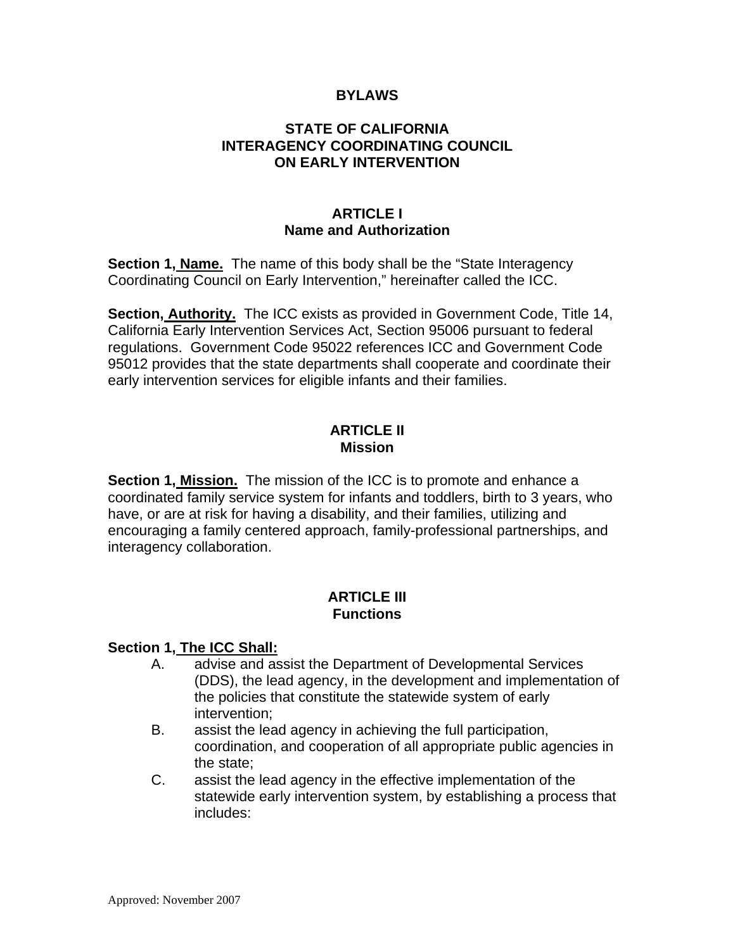#### **BYLAWS**

### **STATE OF CALIFORNIA INTERAGENCY COORDINATING COUNCIL ON EARLY INTERVENTION**

#### **ARTICLE I Name and Authorization**

**Section 1, Name.** The name of this body shall be the "State Interagency Coordinating Council on Early Intervention," hereinafter called the ICC.

**Section, Authority.** The ICC exists as provided in Government Code, Title 14, California Early Intervention Services Act, Section 95006 pursuant to federal regulations. Government Code 95022 references ICC and Government Code 95012 provides that the state departments shall cooperate and coordinate their early intervention services for eligible infants and their families.

### **ARTICLE II Mission**

**Section 1, Mission.** The mission of the ICC is to promote and enhance a coordinated family service system for infants and toddlers, birth to 3 years, who have, or are at risk for having a disability, and their families, utilizing and encouraging a family centered approach, family-professional partnerships, and interagency collaboration.

# **ARTICLE III Functions**

#### **Section 1, The ICC Shall:**

- A. advise and assist the Department of Developmental Services (DDS), the lead agency, in the development and implementation of the policies that constitute the statewide system of early intervention;
- B. assist the lead agency in achieving the full participation, coordination, and cooperation of all appropriate public agencies in the state;
- C. assist the lead agency in the effective implementation of the statewide early intervention system, by establishing a process that includes: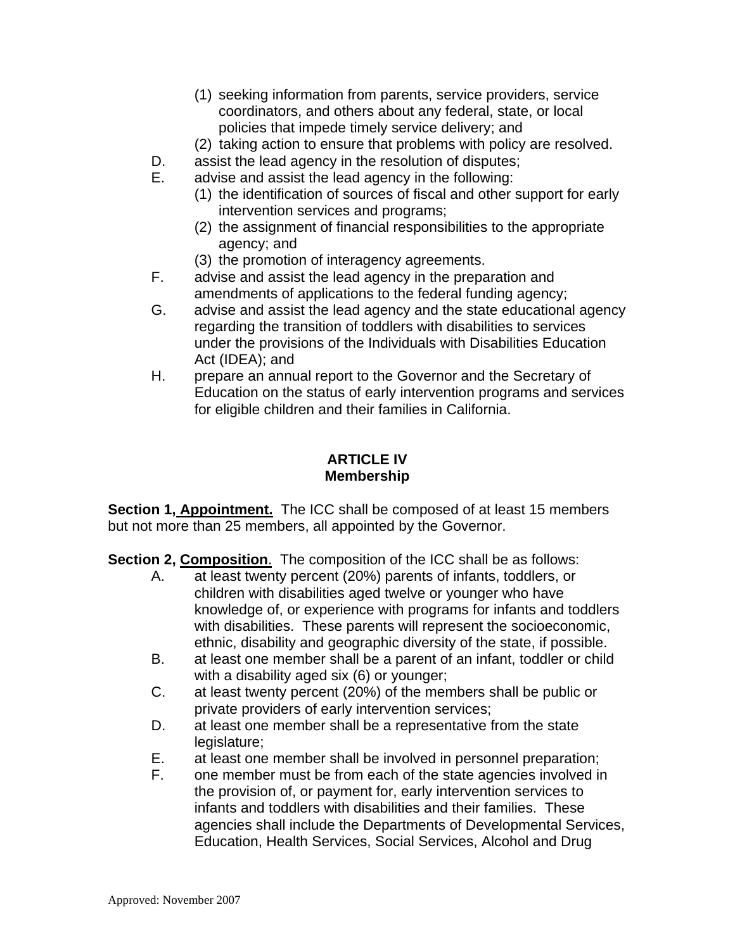- (1) seeking information from parents, service providers, service coordinators, and others about any federal, state, or local policies that impede timely service delivery; and
- (2) taking action to ensure that problems with policy are resolved.
- D. assist the lead agency in the resolution of disputes;
- E. advise and assist the lead agency in the following:
	- (1) the identification of sources of fiscal and other support for early intervention services and programs;
	- (2) the assignment of financial responsibilities to the appropriate agency; and
	- (3) the promotion of interagency agreements.
- F. advise and assist the lead agency in the preparation and amendments of applications to the federal funding agency;
- G. advise and assist the lead agency and the state educational agency regarding the transition of toddlers with disabilities to services under the provisions of the Individuals with Disabilities Education Act (IDEA); and
- H. prepare an annual report to the Governor and the Secretary of Education on the status of early intervention programs and services for eligible children and their families in California.

# **ARTICLE IV Membership**

**Section 1, Appointment.** The ICC shall be composed of at least 15 members but not more than 25 members, all appointed by the Governor.

**Section 2, Composition**. The composition of the ICC shall be as follows:

- A. at least twenty percent (20%) parents of infants, toddlers, or children with disabilities aged twelve or younger who have knowledge of, or experience with programs for infants and toddlers with disabilities. These parents will represent the socioeconomic, ethnic, disability and geographic diversity of the state, if possible.
- B. at least one member shall be a parent of an infant, toddler or child with a disability aged six (6) or younger;
- C. at least twenty percent (20%) of the members shall be public or private providers of early intervention services;
- D. at least one member shall be a representative from the state legislature;
- E. at least one member shall be involved in personnel preparation;
- F. one member must be from each of the state agencies involved in the provision of, or payment for, early intervention services to infants and toddlers with disabilities and their families. These agencies shall include the Departments of Developmental Services, Education, Health Services, Social Services, Alcohol and Drug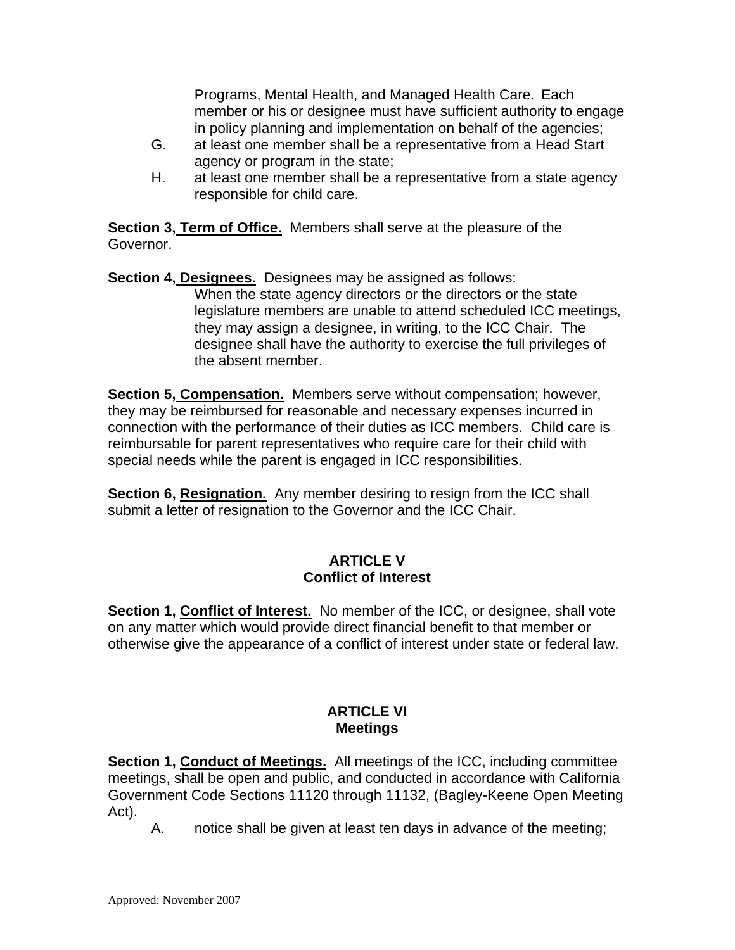Programs, Mental Health, and Managed Health Care. Each member or his or designee must have sufficient authority to engage in policy planning and implementation on behalf of the agencies;

- G. at least one member shall be a representative from a Head Start agency or program in the state;
- H. at least one member shall be a representative from a state agency responsible for child care.

**Section 3, Term of Office.** Members shall serve at the pleasure of the Governor.

**Section 4, Designees.** Designees may be assigned as follows: When the state agency directors or the directors or the state legislature members are unable to attend scheduled ICC meetings, they may assign a designee, in writing, to the ICC Chair. The designee shall have the authority to exercise the full privileges of the absent member.

**Section 5, Compensation.** Members serve without compensation; however, they may be reimbursed for reasonable and necessary expenses incurred in connection with the performance of their duties as ICC members. Child care is reimbursable for parent representatives who require care for their child with special needs while the parent is engaged in ICC responsibilities.

**Section 6, Resignation.** Any member desiring to resign from the ICC shall submit a letter of resignation to the Governor and the ICC Chair.

### **ARTICLE V Conflict of Interest**

**Section 1, Conflict of Interest.** No member of the ICC, or designee, shall vote on any matter which would provide direct financial benefit to that member or otherwise give the appearance of a conflict of interest under state or federal law.

# **ARTICLE VI Meetings**

**Section 1, Conduct of Meetings.** All meetings of the ICC, including committee meetings, shall be open and public, and conducted in accordance with California Government Code Sections 11120 through 11132, (Bagley-Keene Open Meeting Act).

A. notice shall be given at least ten days in advance of the meeting;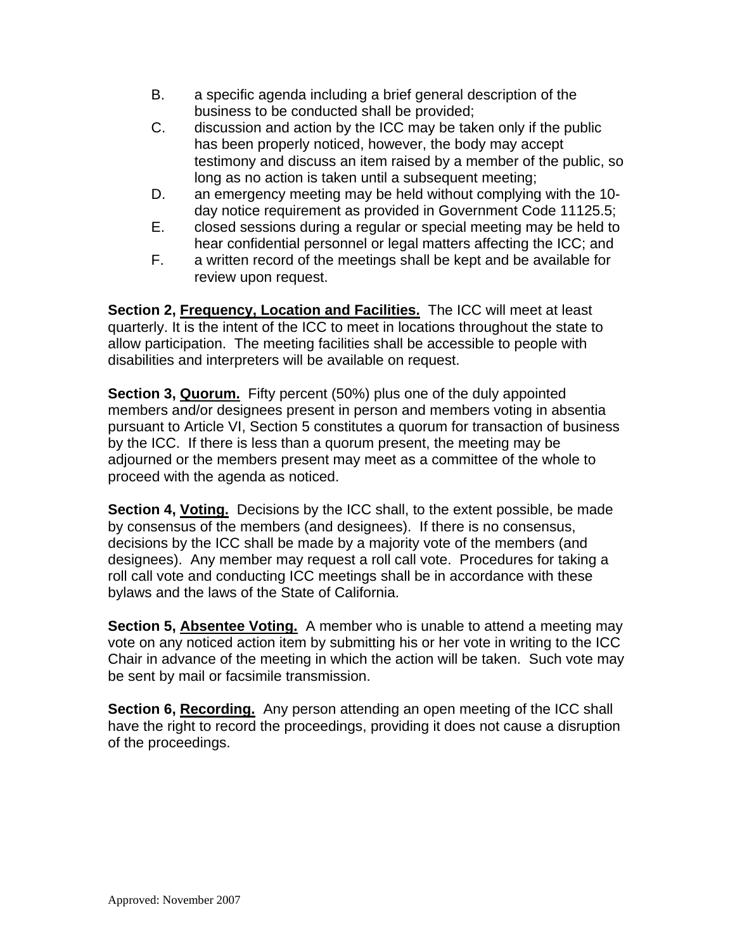- B. a specific agenda including a brief general description of the business to be conducted shall be provided;
- C. discussion and action by the ICC may be taken only if the public has been properly noticed, however, the body may accept testimony and discuss an item raised by a member of the public, so long as no action is taken until a subsequent meeting;
- D. an emergency meeting may be held without complying with the 10 day notice requirement as provided in Government Code 11125.5;
- E. closed sessions during a regular or special meeting may be held to hear confidential personnel or legal matters affecting the ICC; and
- F. a written record of the meetings shall be kept and be available for review upon request.

**Section 2, Frequency, Location and Facilities.** The ICC will meet at least quarterly. It is the intent of the ICC to meet in locations throughout the state to allow participation. The meeting facilities shall be accessible to people with disabilities and interpreters will be available on request.

**Section 3, Quorum.** Fifty percent (50%) plus one of the duly appointed members and/or designees present in person and members voting in absentia pursuant to Article VI, Section 5 constitutes a quorum for transaction of business by the ICC. If there is less than a quorum present, the meeting may be adjourned or the members present may meet as a committee of the whole to proceed with the agenda as noticed.

**Section 4, Voting.** Decisions by the ICC shall, to the extent possible, be made by consensus of the members (and designees). If there is no consensus, decisions by the ICC shall be made by a majority vote of the members (and designees). Any member may request a roll call vote. Procedures for taking a roll call vote and conducting ICC meetings shall be in accordance with these bylaws and the laws of the State of California.

**Section 5, Absentee Voting.** A member who is unable to attend a meeting may vote on any noticed action item by submitting his or her vote in writing to the ICC Chair in advance of the meeting in which the action will be taken. Such vote may be sent by mail or facsimile transmission.

**Section 6, Recording.** Any person attending an open meeting of the ICC shall have the right to record the proceedings, providing it does not cause a disruption of the proceedings.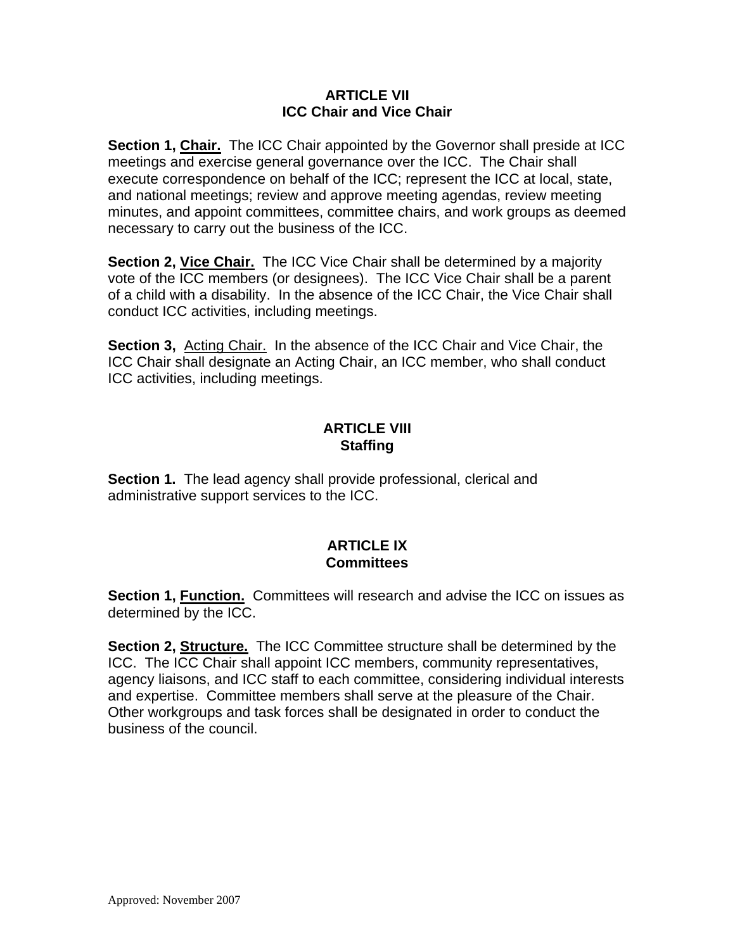#### **ARTICLE VII ICC Chair and Vice Chair**

**Section 1, Chair.** The ICC Chair appointed by the Governor shall preside at ICC meetings and exercise general governance over the ICC. The Chair shall execute correspondence on behalf of the ICC; represent the ICC at local, state, and national meetings; review and approve meeting agendas, review meeting minutes, and appoint committees, committee chairs, and work groups as deemed necessary to carry out the business of the ICC.

**Section 2, Vice Chair.** The ICC Vice Chair shall be determined by a majority vote of the ICC members (or designees). The ICC Vice Chair shall be a parent of a child with a disability. In the absence of the ICC Chair, the Vice Chair shall conduct ICC activities, including meetings.

**Section 3,** Acting Chair. In the absence of the ICC Chair and Vice Chair, the ICC Chair shall designate an Acting Chair, an ICC member, who shall conduct ICC activities, including meetings.

# **ARTICLE VIII Staffing**

**Section 1.** The lead agency shall provide professional, clerical and administrative support services to the ICC.

### **ARTICLE IX Committees**

**Section 1, Function.** Committees will research and advise the ICC on issues as determined by the ICC.

**Section 2, Structure.** The ICC Committee structure shall be determined by the ICC. The ICC Chair shall appoint ICC members, community representatives, agency liaisons, and ICC staff to each committee, considering individual interests and expertise. Committee members shall serve at the pleasure of the Chair. Other workgroups and task forces shall be designated in order to conduct the business of the council.